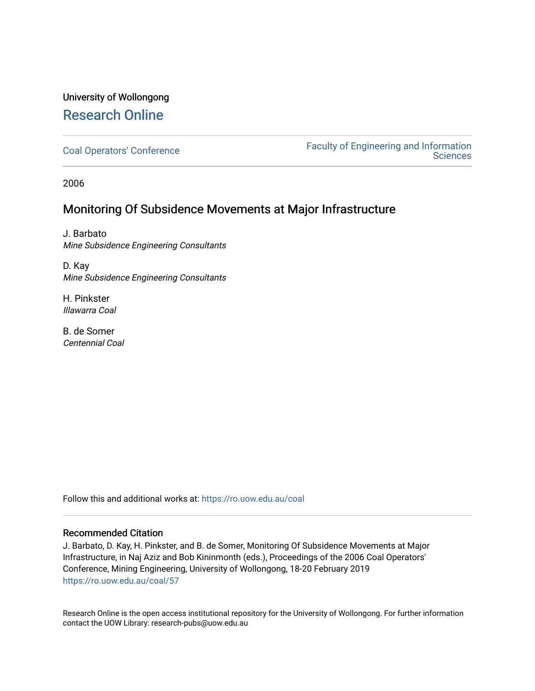## University of Wollongong [Research Online](https://ro.uow.edu.au/)

[Coal Operators' Conference](https://ro.uow.edu.au/coal) [Faculty of Engineering and Information](https://ro.uow.edu.au/eis)  **Sciences** 

2006

### Monitoring Of Subsidence Movements at Major Infrastructure

J. Barbato Mine Subsidence Engineering Consultants

D. Kay Mine Subsidence Engineering Consultants

H. Pinkster Illawarra Coal

B. de Somer Centennial Coal

Follow this and additional works at: [https://ro.uow.edu.au/coal](https://ro.uow.edu.au/coal?utm_source=ro.uow.edu.au%2Fcoal%2F57&utm_medium=PDF&utm_campaign=PDFCoverPages) 

### Recommended Citation

J. Barbato, D. Kay, H. Pinkster, and B. de Somer, Monitoring Of Subsidence Movements at Major Infrastructure, in Naj Aziz and Bob Kininmonth (eds.), Proceedings of the 2006 Coal Operators' Conference, Mining Engineering, University of Wollongong, 18-20 February 2019 [https://ro.uow.edu.au/coal/57](https://ro.uow.edu.au/coal/57?utm_source=ro.uow.edu.au%2Fcoal%2F57&utm_medium=PDF&utm_campaign=PDFCoverPages) 

Research Online is the open access institutional repository for the University of Wollongong. For further information contact the UOW Library: research-pubs@uow.edu.au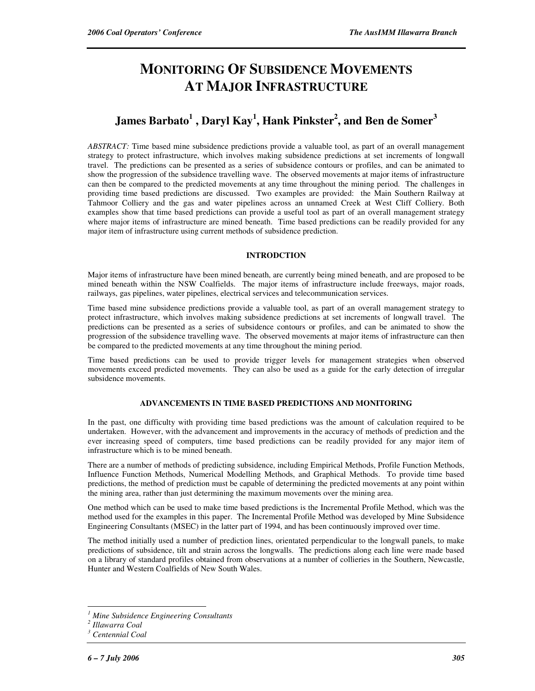# **MONITORING OF SUBSIDENCE MOVEMENTS AT MAJOR INFRASTRUCTURE**

## **James Barbato<sup>1</sup> , Daryl Kay<sup>1</sup> , Hank Pinkster<sup>2</sup> , and Ben de Somer<sup>3</sup>**

*ABSTRACT:* Time based mine subsidence predictions provide a valuable tool, as part of an overall management strategy to protect infrastructure, which involves making subsidence predictions at set increments of longwall travel. The predictions can be presented as a series of subsidence contours or profiles, and can be animated to show the progression of the subsidence travelling wave. The observed movements at major items of infrastructure can then be compared to the predicted movements at any time throughout the mining period. The challenges in providing time based predictions are discussed. Two examples are provided: the Main Southern Railway at Tahmoor Colliery and the gas and water pipelines across an unnamed Creek at West Cliff Colliery. Both examples show that time based predictions can provide a useful tool as part of an overall management strategy where major items of infrastructure are mined beneath. Time based predictions can be readily provided for any major item of infrastructure using current methods of subsidence prediction.

#### **INTRODCTION**

Major items of infrastructure have been mined beneath, are currently being mined beneath, and are proposed to be mined beneath within the NSW Coalfields. The major items of infrastructure include freeways, major roads, railways, gas pipelines, water pipelines, electrical services and telecommunication services.

Time based mine subsidence predictions provide a valuable tool, as part of an overall management strategy to protect infrastructure, which involves making subsidence predictions at set increments of longwall travel. The predictions can be presented as a series of subsidence contours or profiles, and can be animated to show the progression of the subsidence travelling wave. The observed movements at major items of infrastructure can then be compared to the predicted movements at any time throughout the mining period.

Time based predictions can be used to provide trigger levels for management strategies when observed movements exceed predicted movements. They can also be used as a guide for the early detection of irregular subsidence movements.

#### **ADVANCEMENTS IN TIME BASED PREDICTIONS AND MONITORING**

In the past, one difficulty with providing time based predictions was the amount of calculation required to be undertaken. However, with the advancement and improvements in the accuracy of methods of prediction and the ever increasing speed of computers, time based predictions can be readily provided for any major item of infrastructure which is to be mined beneath.

There are a number of methods of predicting subsidence, including Empirical Methods, Profile Function Methods, Influence Function Methods, Numerical Modelling Methods, and Graphical Methods. To provide time based predictions, the method of prediction must be capable of determining the predicted movements at any point within the mining area, rather than just determining the maximum movements over the mining area.

One method which can be used to make time based predictions is the Incremental Profile Method, which was the method used for the examples in this paper. The Incremental Profile Method was developed by Mine Subsidence Engineering Consultants (MSEC) in the latter part of 1994, and has been continuously improved over time.

The method initially used a number of prediction lines, orientated perpendicular to the longwall panels, to make predictions of subsidence, tilt and strain across the longwalls. The predictions along each line were made based on a library of standard profiles obtained from observations at a number of collieries in the Southern, Newcastle, Hunter and Western Coalfields of New South Wales.

 $\overline{a}$ 

*<sup>1</sup> Mine Subsidence Engineering Consultants* 

*<sup>2</sup> Illawarra Coal* 

*<sup>3</sup> Centennial Coal*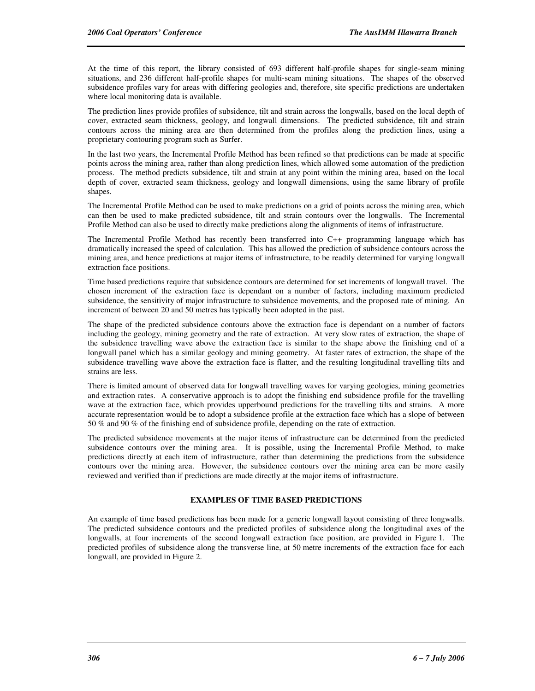At the time of this report, the library consisted of 693 different half-profile shapes for single-seam mining situations, and 236 different half-profile shapes for multi-seam mining situations. The shapes of the observed subsidence profiles vary for areas with differing geologies and, therefore, site specific predictions are undertaken where local monitoring data is available.

The prediction lines provide profiles of subsidence, tilt and strain across the longwalls, based on the local depth of cover, extracted seam thickness, geology, and longwall dimensions. The predicted subsidence, tilt and strain contours across the mining area are then determined from the profiles along the prediction lines, using a proprietary contouring program such as Surfer.

In the last two years, the Incremental Profile Method has been refined so that predictions can be made at specific points across the mining area, rather than along prediction lines, which allowed some automation of the prediction process. The method predicts subsidence, tilt and strain at any point within the mining area, based on the local depth of cover, extracted seam thickness, geology and longwall dimensions, using the same library of profile shapes.

The Incremental Profile Method can be used to make predictions on a grid of points across the mining area, which can then be used to make predicted subsidence, tilt and strain contours over the longwalls. The Incremental Profile Method can also be used to directly make predictions along the alignments of items of infrastructure.

The Incremental Profile Method has recently been transferred into C++ programming language which has dramatically increased the speed of calculation. This has allowed the prediction of subsidence contours across the mining area, and hence predictions at major items of infrastructure, to be readily determined for varying longwall extraction face positions.

Time based predictions require that subsidence contours are determined for set increments of longwall travel. The chosen increment of the extraction face is dependant on a number of factors, including maximum predicted subsidence, the sensitivity of major infrastructure to subsidence movements, and the proposed rate of mining. An increment of between 20 and 50 metres has typically been adopted in the past.

The shape of the predicted subsidence contours above the extraction face is dependant on a number of factors including the geology, mining geometry and the rate of extraction. At very slow rates of extraction, the shape of the subsidence travelling wave above the extraction face is similar to the shape above the finishing end of a longwall panel which has a similar geology and mining geometry. At faster rates of extraction, the shape of the subsidence travelling wave above the extraction face is flatter, and the resulting longitudinal travelling tilts and strains are less.

There is limited amount of observed data for longwall travelling waves for varying geologies, mining geometries and extraction rates. A conservative approach is to adopt the finishing end subsidence profile for the travelling wave at the extraction face, which provides upperbound predictions for the travelling tilts and strains. A more accurate representation would be to adopt a subsidence profile at the extraction face which has a slope of between 50 % and 90 % of the finishing end of subsidence profile, depending on the rate of extraction.

The predicted subsidence movements at the major items of infrastructure can be determined from the predicted subsidence contours over the mining area. It is possible, using the Incremental Profile Method, to make predictions directly at each item of infrastructure, rather than determining the predictions from the subsidence contours over the mining area. However, the subsidence contours over the mining area can be more easily reviewed and verified than if predictions are made directly at the major items of infrastructure.

#### **EXAMPLES OF TIME BASED PREDICTIONS**

An example of time based predictions has been made for a generic longwall layout consisting of three longwalls. The predicted subsidence contours and the predicted profiles of subsidence along the longitudinal axes of the longwalls, at four increments of the second longwall extraction face position, are provided in Figure 1. The predicted profiles of subsidence along the transverse line, at 50 metre increments of the extraction face for each longwall, are provided in Figure 2.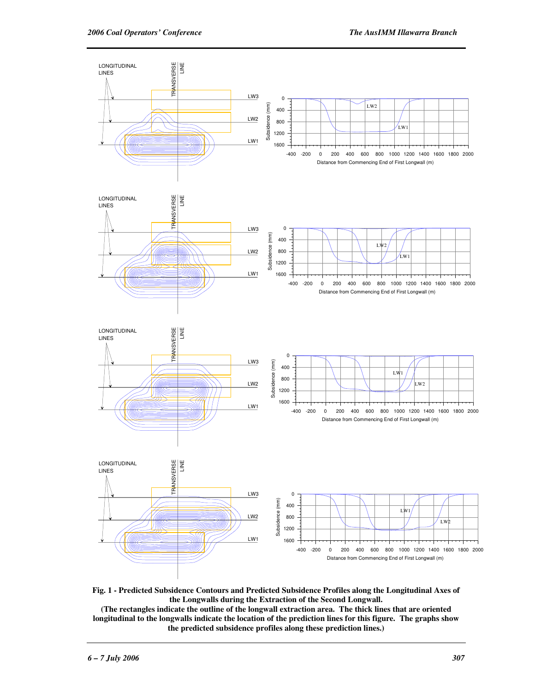

**Fig. 1 - Predicted Subsidence Contours and Predicted Subsidence Profiles along the Longitudinal Axes of the Longwalls during the Extraction of the Second Longwall.** 

**(The rectangles indicate the outline of the longwall extraction area. The thick lines that are oriented longitudinal to the longwalls indicate the location of the prediction lines for this figure. The graphs show the predicted subsidence profiles along these prediction lines.)**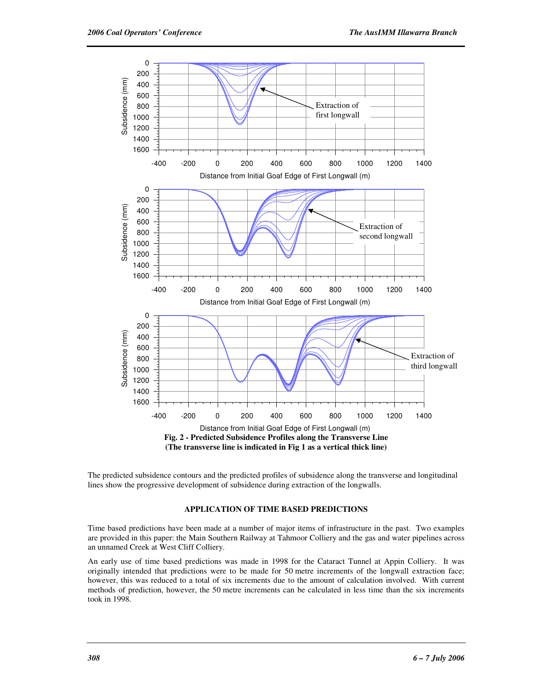

The predicted subsidence contours and the predicted profiles of subsidence along the transverse and longitudinal lines show the progressive development of subsidence during extraction of the longwalls.

#### **APPLICATION OF TIME BASED PREDICTIONS**

Time based predictions have been made at a number of major items of infrastructure in the past. Two examples are provided in this paper: the Main Southern Railway at Tahmoor Colliery and the gas and water pipelines across an unnamed Creek at West Cliff Colliery.

An early use of time based predictions was made in 1998 for the Cataract Tunnel at Appin Colliery. It was originally intended that predictions were to be made for 50 metre increments of the longwall extraction face; however, this was reduced to a total of six increments due to the amount of calculation involved. With current methods of prediction, however, the 50 metre increments can be calculated in less time than the six increments took in 1998.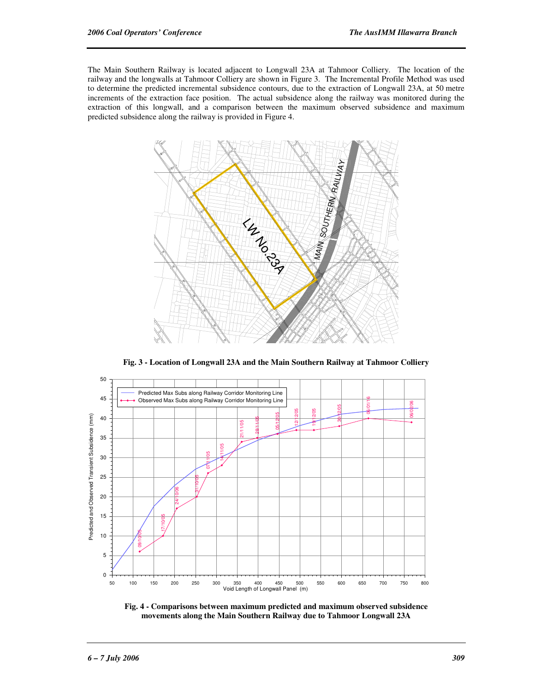The Main Southern Railway is located adjacent to Longwall 23A at Tahmoor Colliery. The location of the railway and the longwalls at Tahmoor Colliery are shown in Figure 3. The Incremental Profile Method was used to determine the predicted incremental subsidence contours, due to the extraction of Longwall 23A, at 50 metre increments of the extraction face position. The actual subsidence along the railway was monitored during the extraction of this longwall, and a comparison between the maximum observed subsidence and maximum predicted subsidence along the railway is provided in Figure 4.



**Fig. 3 - Location of Longwall 23A and the Main Southern Railway at Tahmoor Colliery** 



**Fig. 4 - Comparisons between maximum predicted and maximum observed subsidence movements along the Main Southern Railway due to Tahmoor Longwall 23A**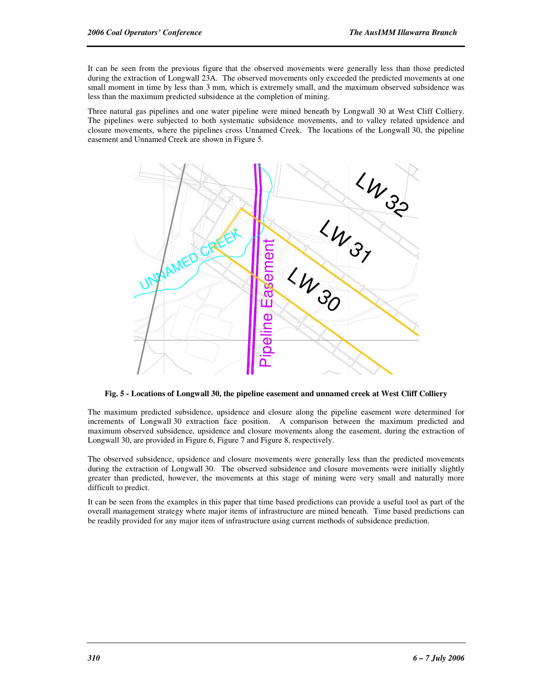It can be seen from the previous figure that the observed movements were generally less than those predicted during the extraction of Longwall 23A. The observed movements only exceeded the predicted movements at one small moment in time by less than 3 mm, which is extremely small, and the maximum observed subsidence was less than the maximum predicted subsidence at the completion of mining.

Three natural gas pipelines and one water pipeline were mined beneath by Longwall 30 at West Cliff Colliery. The pipelines were subjected to both systematic subsidence movements, and to valley related upsidence and closure movements, where the pipelines cross Unnamed Creek. The locations of the Longwall 30, the pipeline easement and Unnamed Creek are shown in Figure 5.



**Fig. 5 - Locations of Longwall 30, the pipeline easement and unnamed creek at West Cliff Colliery** 

The maximum predicted subsidence, upsidence and closure along the pipeline easement were determined for increments of Longwall 30 extraction face position. A comparison between the maximum predicted and maximum observed subsidence, upsidence and closure movements along the easement, during the extraction of Longwall 30, are provided in Figure 6, Figure 7 and Figure 8, respectively.

The observed subsidence, upsidence and closure movements were generally less than the predicted movements during the extraction of Longwall 30. The observed subsidence and closure movements were initially slightly greater than predicted, however, the movements at this stage of mining were very small and naturally more difficult to predict.

It can be seen from the examples in this paper that time based predictions can provide a useful tool as part of the overall management strategy where major items of infrastructure are mined beneath. Time based predictions can be readily provided for any major item of infrastructure using current methods of subsidence prediction.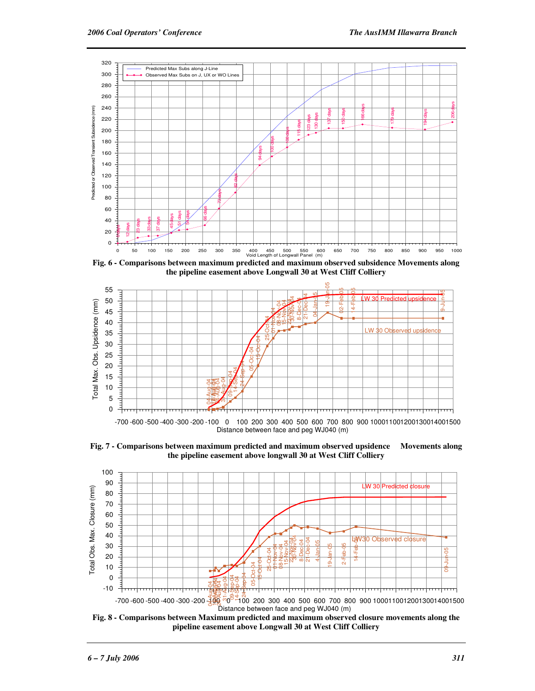

**Fig. 6 - Comparisons between maximum predicted and maximum observed subsidence Movements along the pipeline easement above Longwall 30 at West Cliff Colliery** 



**Fig. 7 - Comparisons between maximum predicted and maximum observed upsidence Movements along the pipeline easement above longwall 30 at West Cliff Colliery**